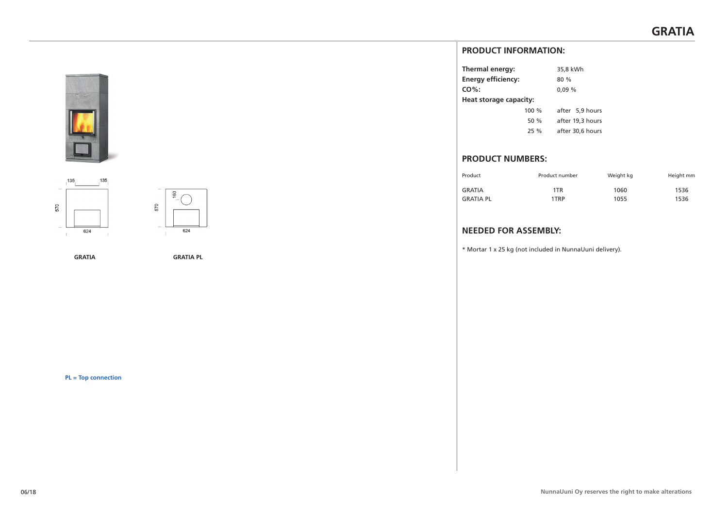





**GRATIA GRATIA PL**

**PL = Top connection**

# **PRODUCT INFORMATION:**

| Thermal energy:           |       | 35,8 kWh         |
|---------------------------|-------|------------------|
| <b>Energy efficiency:</b> |       | 80%              |
| $CO%$ :                   |       | 0.09%            |
| Heat storage capacity:    |       |                  |
|                           | 100 % | after 5,9 hours  |
|                           | 50 %  | after 19,3 hours |
|                           | 25%   | after 30.6 hours |
|                           |       |                  |

# **PRODUCT NUMBERS:**

| Product          | Product number | Weight kg | Height mm |
|------------------|----------------|-----------|-----------|
| <b>GRATIA</b>    | 1TR            | 1060      | 1536      |
| <b>GRATIA PL</b> | 1TRP           | 1055      | 1536      |

# **NEEDED FOR ASSEMBLY:**

\* Mortar 1 x 25 kg (not included in NunnaUuni delivery).